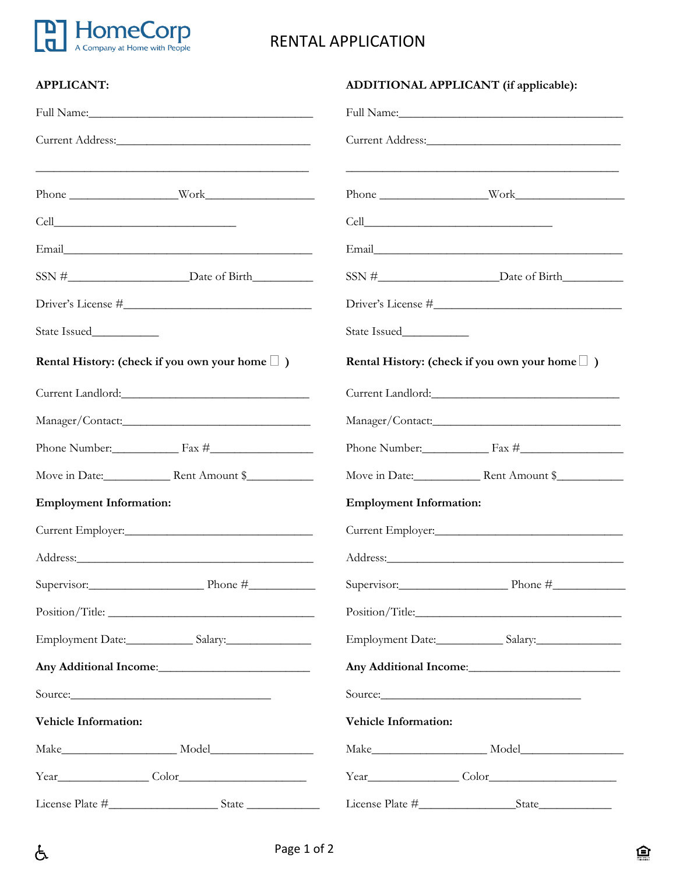

 $\Delta$ 

## RENTAL APPLICATION

| <b>APPLICANT:</b>                                                                                                                                                                                                              | ADDITIONAL APPLICANT (if applicable):                                                                                                                                                                                          |
|--------------------------------------------------------------------------------------------------------------------------------------------------------------------------------------------------------------------------------|--------------------------------------------------------------------------------------------------------------------------------------------------------------------------------------------------------------------------------|
|                                                                                                                                                                                                                                |                                                                                                                                                                                                                                |
|                                                                                                                                                                                                                                | Current Address: 2008                                                                                                                                                                                                          |
| <u> 1989 - Johann Stoff, deutscher Stoff, der Stoff, der Stoff, der Stoff, der Stoff, der Stoff, der Stoff, der S</u>                                                                                                          |                                                                                                                                                                                                                                |
|                                                                                                                                                                                                                                |                                                                                                                                                                                                                                |
|                                                                                                                                                                                                                                |                                                                                                                                                                                                                                |
|                                                                                                                                                                                                                                |                                                                                                                                                                                                                                |
|                                                                                                                                                                                                                                |                                                                                                                                                                                                                                |
|                                                                                                                                                                                                                                |                                                                                                                                                                                                                                |
| Rental History: (check if you own your home $\Box$ )                                                                                                                                                                           | Rental History: (check if you own your home $\Box$ )                                                                                                                                                                           |
|                                                                                                                                                                                                                                | Current Landlord:                                                                                                                                                                                                              |
|                                                                                                                                                                                                                                |                                                                                                                                                                                                                                |
| Phone Number: Fax #                                                                                                                                                                                                            | Phone Number: Fax #                                                                                                                                                                                                            |
|                                                                                                                                                                                                                                |                                                                                                                                                                                                                                |
| <b>Employment Information:</b>                                                                                                                                                                                                 | <b>Employment Information:</b>                                                                                                                                                                                                 |
|                                                                                                                                                                                                                                |                                                                                                                                                                                                                                |
| Address: Andreas Address: Address: Address: Address: Address: Address: Address: Address: Address: Address: Address: Address: Address: Address: Address: Address: Address: Address: Address: Address: Address: Address: Address | Address: No. 1988. The Committee of the Committee of the Committee of the Committee of the Committee of the Committee of the Committee of the Committee of the Committee of the Committee of the Committee of the Committee of |
| Supervisor: Phone #                                                                                                                                                                                                            | Supervisor: Phone $\#$                                                                                                                                                                                                         |
|                                                                                                                                                                                                                                |                                                                                                                                                                                                                                |
|                                                                                                                                                                                                                                |                                                                                                                                                                                                                                |
|                                                                                                                                                                                                                                |                                                                                                                                                                                                                                |
| Source:                                                                                                                                                                                                                        | Source:                                                                                                                                                                                                                        |
| <b>Vehicle Information:</b>                                                                                                                                                                                                    | <b>Vehicle Information:</b>                                                                                                                                                                                                    |
|                                                                                                                                                                                                                                |                                                                                                                                                                                                                                |
|                                                                                                                                                                                                                                |                                                                                                                                                                                                                                |
|                                                                                                                                                                                                                                |                                                                                                                                                                                                                                |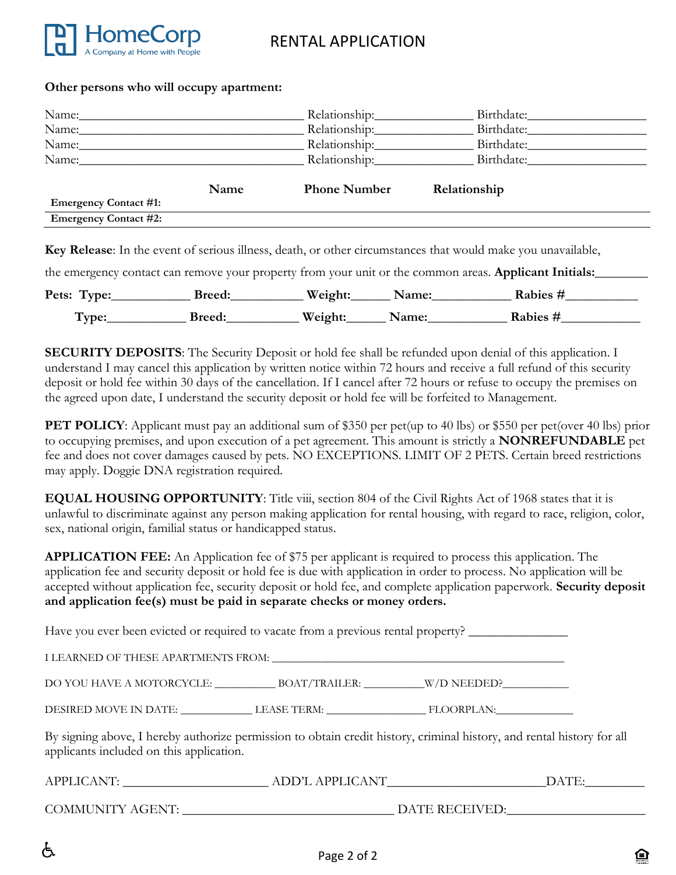

#### **Other persons who will occupy apartment:**

|                              |      | Relationship:       |                          |  |
|------------------------------|------|---------------------|--------------------------|--|
| Name:                        |      | Relationship:       | Birthdate:               |  |
| Name:                        |      | Relationship:       | Birthdate:               |  |
| Name:                        |      |                     | Relationship: Birthdate: |  |
|                              | Name | <b>Phone Number</b> | Relationship             |  |
| <b>Emergency Contact #1:</b> |      |                     |                          |  |
| <b>Emergency Contact #2:</b> |      |                     |                          |  |
|                              |      |                     |                          |  |

**Key Release**: In the event of serious illness, death, or other circumstances that would make you unavailable,

the emergency contact can remove your property from your unit or the common areas. **Applicant Initials:** 

| Pets: Type: | <b>Breed:</b> | Weight: | Name: | Rabies # |
|-------------|---------------|---------|-------|----------|
| Type:       | <b>Breed:</b> | Weight: | Name: | Rabies # |

**SECURITY DEPOSITS:** The Security Deposit or hold fee shall be refunded upon denial of this application. I understand I may cancel this application by written notice within 72 hours and receive a full refund of this security deposit or hold fee within 30 days of the cancellation. If I cancel after 72 hours or refuse to occupy the premises on the agreed upon date, I understand the security deposit or hold fee will be forfeited to Management.

**PET POLICY**: Applicant must pay an additional sum of \$350 per pet(up to 40 lbs) or \$550 per pet(over 40 lbs) prior to occupying premises, and upon execution of a pet agreement. This amount is strictly a **NONREFUNDABLE** pet fee and does not cover damages caused by pets. NO EXCEPTIONS. LIMIT OF 2 PETS. Certain breed restrictions may apply. Doggie DNA registration required.

**EQUAL HOUSING OPPORTUNITY**: Title viii, section 804 of the Civil Rights Act of 1968 states that it is unlawful to discriminate against any person making application for rental housing, with regard to race, religion, color, sex, national origin, familial status or handicapped status.

**APPLICATION FEE:** An Application fee of \$75 per applicant is required to process this application. The application fee and security deposit or hold fee is due with application in order to process. No application will be accepted without application fee, security deposit or hold fee, and complete application paperwork. **Security deposit and application fee(s) must be paid in separate checks or money orders.** 

Have you ever been evicted or required to vacate from a previous rental property? \_\_\_\_\_\_\_\_\_\_\_\_\_\_\_

| I LEARNED OF THESE APARTMENTS FROM: |               |             |  |
|-------------------------------------|---------------|-------------|--|
| DO YOU HAVE A MOTORCYCLE:           | BOAT/TRAILER: | W/D NEEDED? |  |
| DESIRED MOVE IN DATE:               | LEASE TERM:   | FLOORPLAN:  |  |

By signing above, I hereby authorize permission to obtain credit history, criminal history, and rental history for all applicants included on this application.

| APPLICANT:              | ADD'L APPLICANT | DATE: |
|-------------------------|-----------------|-------|
|                         |                 |       |
| <b>COMMUNITY AGENT:</b> | DATE RECEIVED:  |       |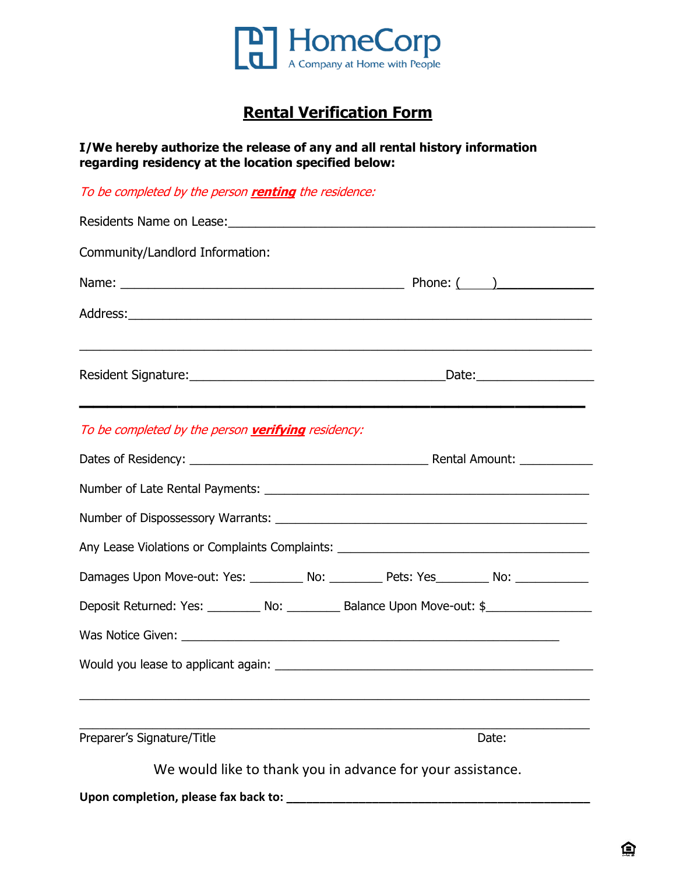

# **Rental Verification Form**

**I/We hereby authorize the release of any and all rental history information regarding residency at the location specified below:** 

To be completed by the person **renting** the residence:

| Community/Landlord Information:                    |                                                                                                      |
|----------------------------------------------------|------------------------------------------------------------------------------------------------------|
|                                                    |                                                                                                      |
|                                                    |                                                                                                      |
|                                                    |                                                                                                      |
| To be completed by the person verifying residency: |                                                                                                      |
|                                                    |                                                                                                      |
|                                                    |                                                                                                      |
|                                                    |                                                                                                      |
|                                                    | Any Lease Violations or Complaints Complaints: _________________________________                     |
|                                                    | Damages Upon Move-out: Yes: _________ No: _________ Pets: Yes________ No: ___________                |
|                                                    | Deposit Returned: Yes: __________ No: __________ Balance Upon Move-out: \$__________________________ |
|                                                    |                                                                                                      |
|                                                    |                                                                                                      |
| Preparer's Signature/Title                         | Date:                                                                                                |
|                                                    | We would like to thank you in advance for your assistance.                                           |
|                                                    |                                                                                                      |